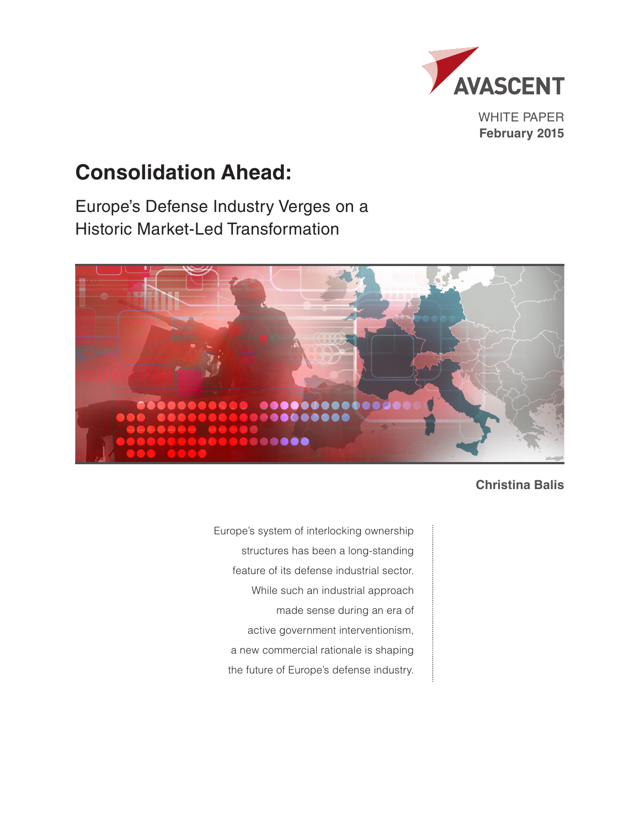

**February 2015**

# **Consolidation Ahead:**

Europe's Defense Industry Verges on a Historic Market-Led Transformation



**Christina Balis**

Europe's system of interlocking ownership structures has been a long-standing feature of its defense industrial sector. While such an industrial approach made sense during an era of active government interventionism, a new commercial rationale is shaping the future of Europe's defense industry.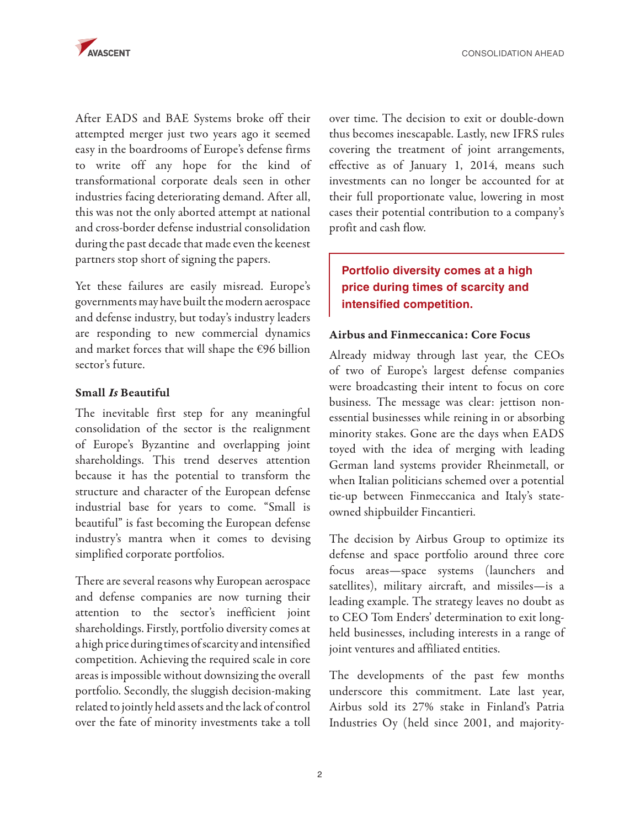After EADS and BAE Systems broke off their attempted merger just two years ago it seemed easy in the boardrooms of Europe's defense firms to write off any hope for the kind of transformational corporate deals seen in other industries facing deteriorating demand. After all, this was not the only aborted attempt at national and cross-border defense industrial consolidation during the past decade that made even the keenest partners stop short of signing the papers.

Yet these failures are easily misread. Europe's governments may have built the modern aerospace and defense industry, but today's industry leaders are responding to new commercial dynamics and market forces that will shape the €96 billion sector's future.

#### Small *Is* Beautiful

The inevitable first step for any meaningful consolidation of the sector is the realignment of Europe's Byzantine and overlapping joint shareholdings. This trend deserves attention because it has the potential to transform the structure and character of the European defense industrial base for years to come. "Small is beautiful" is fast becoming the European defense industry's mantra when it comes to devising simplified corporate portfolios.

There are several reasons why European aerospace and defense companies are now turning their attention to the sector's inefficient joint shareholdings. Firstly, portfolio diversity comes at a high price during times of scarcity and intensified competition. Achieving the required scale in core areas is impossible without downsizing the overall portfolio. Secondly, the sluggish decision-making related to jointly held assets and the lack of control over the fate of minority investments take a toll

over time. The decision to exit or double-down thus becomes inescapable. Lastly, new IFRS rules covering the treatment of joint arrangements, effective as of January 1, 2014, means such investments can no longer be accounted for at their full proportionate value, lowering in most cases their potential contribution to a company's profit and cash flow.

# **Portfolio diversity comes at a high price during times of scarcity and intensified competition.**

#### Airbus and Finmeccanica: Core Focus

Already midway through last year, the CEOs of two of Europe's largest defense companies were broadcasting their intent to focus on core business. The message was clear: jettison nonessential businesses while reining in or absorbing minority stakes. Gone are the days when EADS toyed with the idea of merging with leading German land systems provider Rheinmetall, or when Italian politicians schemed over a potential tie-up between Finmeccanica and Italy's stateowned shipbuilder Fincantieri.

The decision by Airbus Group to optimize its defense and space portfolio around three core focus areas—space systems (launchers and satellites), military aircraft, and missiles—is a leading example. The strategy leaves no doubt as to CEO Tom Enders' determination to exit longheld businesses, including interests in a range of joint ventures and affiliated entities.

The developments of the past few months underscore this commitment. Late last year, Airbus sold its 27% stake in Finland's Patria Industries Oy (held since 2001, and majority-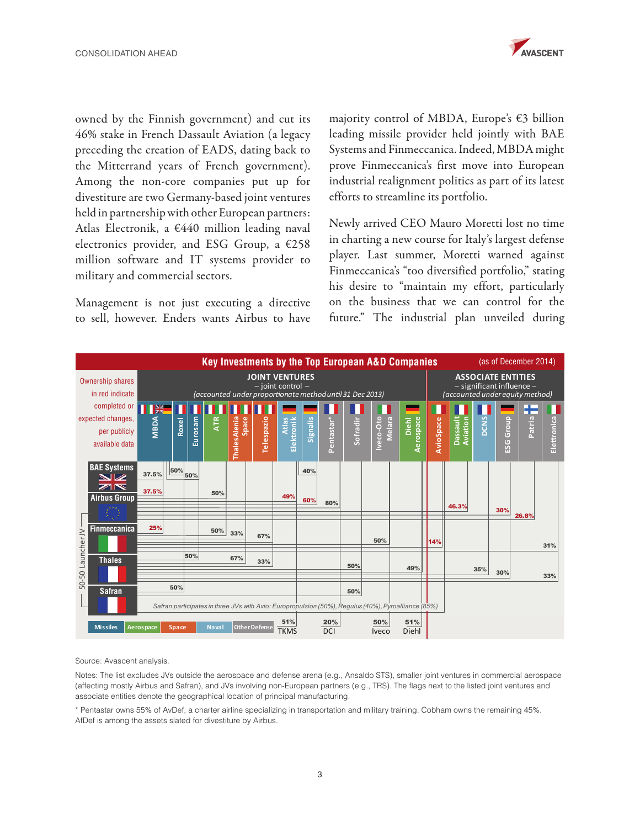

owned by the Finnish government) and cut its 46% stake in French Dassault Aviation (a legacy preceding the creation of EADS, dating back to the Mitterrand years of French government). Among the non-core companies put up for divestiture are two Germany-based joint ventures held in partnership with other European partners: Atlas Electronik, a  $€440$  million leading naval electronics provider, and ESG Group, a €258 million software and IT systems provider to military and commercial sectors.

Management is not just executing a directive to sell, however. Enders wants Airbus to have

majority control of MBDA, Europe's €3 billion leading missile provider held jointly with BAE Systems and Finmeccanica. Indeed, MBDA might prove Finmeccanica's first move into European industrial realignment politics as part of its latest efforts to streamline its portfolio.

Newly arrived CEO Mauro Moretti lost no time in charting a new course for Italy's largest defense player. Last summer, Moretti warned against Finmeccanica's "too diversified portfolio," stating his desire to "maintain my effort, particularly on the business that we can control for the future." The industrial plan unveiled during



Source: Avascent analysis.

Notes: The list excludes JVs outside the aerospace and defense arena (e.g., Ansaldo STS), smaller joint ventures in commercial aerospace (affecting mostly Airbus and Safran), and JVs involving non-European partners (e.g., TRS). The flags next to the listed joint ventures and associate entities denote the geographical location of principal manufacturing.

\* Pentastar owns 55% of AvDef, a charter airline specializing in transportation and military training. Cobham owns the remaining 45%. AfDef is among the assets slated for divestiture by Airbus.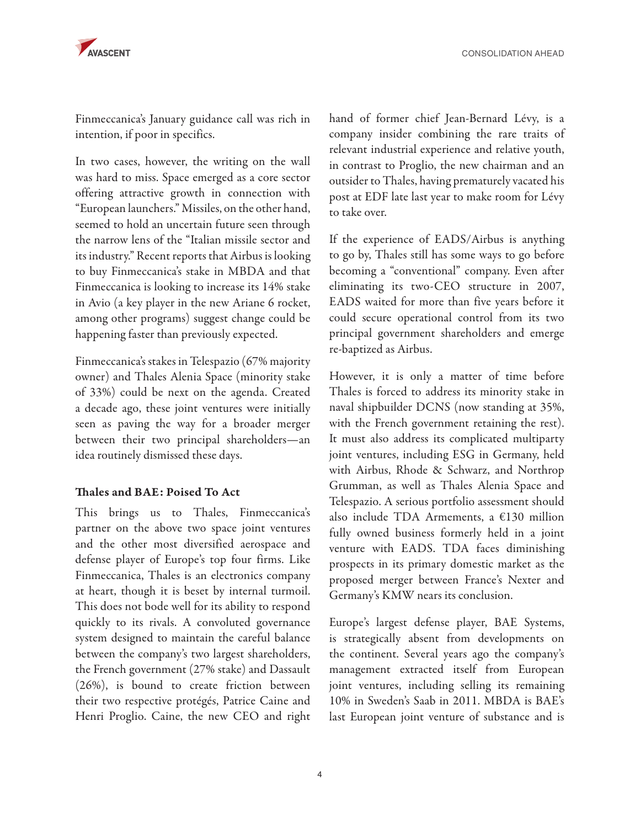

Finmeccanica's January guidance call was rich in intention, if poor in specifics.

In two cases, however, the writing on the wall was hard to miss. Space emerged as a core sector offering attractive growth in connection with "European launchers." Missiles, on the other hand, seemed to hold an uncertain future seen through the narrow lens of the "Italian missile sector and its industry." Recent reports that Airbus is looking to buy Finmeccanica's stake in MBDA and that Finmeccanica is looking to increase its 14% stake in Avio (a key player in the new Ariane 6 rocket, among other programs) suggest change could be happening faster than previously expected.

Finmeccanica's stakes in Telespazio (67% majority owner) and Thales Alenia Space (minority stake of 33%) could be next on the agenda. Created a decade ago, these joint ventures were initially seen as paving the way for a broader merger between their two principal shareholders—an idea routinely dismissed these days.

## Thales and BAE: Poised To Act

This brings us to Thales, Finmeccanica's partner on the above two space joint ventures and the other most diversified aerospace and defense player of Europe's top four firms. Like Finmeccanica, Thales is an electronics company at heart, though it is beset by internal turmoil. This does not bode well for its ability to respond quickly to its rivals. A convoluted governance system designed to maintain the careful balance between the company's two largest shareholders, the French government (27% stake) and Dassault (26%), is bound to create friction between their two respective protégés, Patrice Caine and Henri Proglio. Caine, the new CEO and right

hand of former chief Jean-Bernard Lévy, is a company insider combining the rare traits of relevant industrial experience and relative youth, in contrast to Proglio, the new chairman and an outsider to Thales, having prematurely vacated his post at EDF late last year to make room for Lévy to take over.

If the experience of EADS/Airbus is anything to go by, Thales still has some ways to go before becoming a "conventional" company. Even after eliminating its two-CEO structure in 2007, EADS waited for more than five years before it could secure operational control from its two principal government shareholders and emerge re-baptized as Airbus.

However, it is only a matter of time before Thales is forced to address its minority stake in naval shipbuilder DCNS (now standing at 35%, with the French government retaining the rest). It must also address its complicated multiparty joint ventures, including ESG in Germany, held with Airbus, Rhode & Schwarz, and Northrop Grumman, as well as Thales Alenia Space and Telespazio. A serious portfolio assessment should also include TDA Armements, a €130 million fully owned business formerly held in a joint venture with EADS. TDA faces diminishing prospects in its primary domestic market as the proposed merger between France's Nexter and Germany's KMW nears its conclusion.

Europe's largest defense player, BAE Systems, is strategically absent from developments on the continent. Several years ago the company's management extracted itself from European joint ventures, including selling its remaining 10% in Sweden's Saab in 2011. MBDA is BAE's last European joint venture of substance and is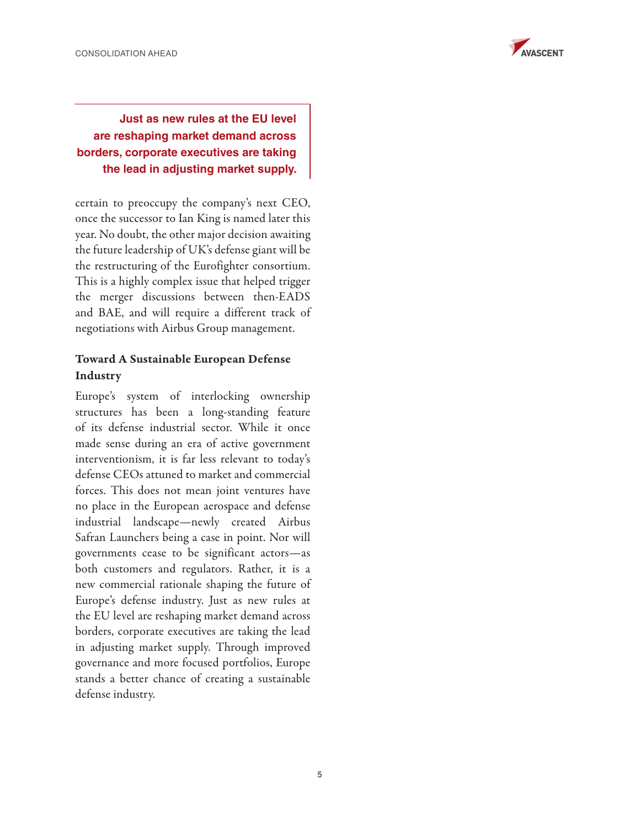

## **Just as new rules at the EU level are reshaping market demand across borders, corporate executives are taking the lead in adjusting market supply.**

certain to preoccupy the company's next CEO, once the successor to Ian King is named later this year. No doubt, the other major decision awaiting the future leadership of UK's defense giant will be the restructuring of the Eurofighter consortium. This is a highly complex issue that helped trigger the merger discussions between then-EADS and BAE, and will require a different track of negotiations with Airbus Group management.

## Toward A Sustainable European Defense Industry

Europe's system of interlocking ownership structures has been a long-standing feature of its defense industrial sector. While it once made sense during an era of active government interventionism, it is far less relevant to today's defense CEOs attuned to market and commercial forces. This does not mean joint ventures have no place in the European aerospace and defense industrial landscape—newly created Airbus Safran Launchers being a case in point. Nor will governments cease to be significant actors—as both customers and regulators. Rather, it is a new commercial rationale shaping the future of Europe's defense industry. Just as new rules at the EU level are reshaping market demand across borders, corporate executives are taking the lead in adjusting market supply. Through improved governance and more focused portfolios, Europe stands a better chance of creating a sustainable defense industry.